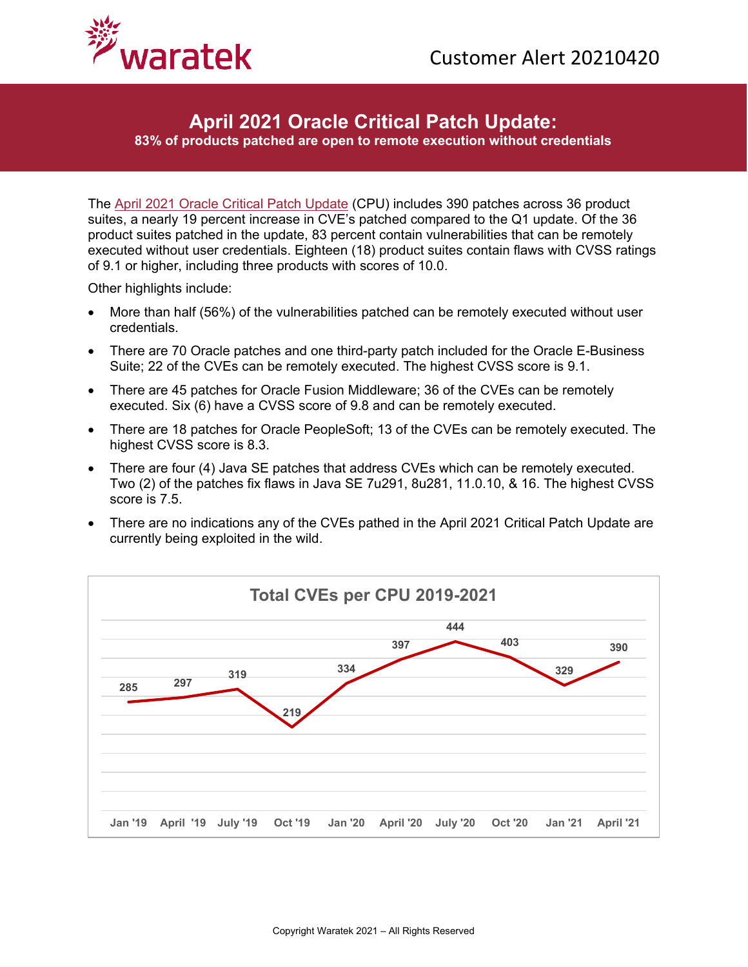

## **April 2021 Oracle Critical Patch Update:**

**83% of products patched are open to remote execution without credentials**

The [April 2021 Oracle Critical Patch Update](https://www.oracle.com/security-alerts/cpuapr2021.html) (CPU) includes 390 patches across 36 product suites, a nearly 19 percent increase in CVE's patched compared to the Q1 update. Of the 36 product suites patched in the update, 83 percent contain vulnerabilities that can be remotely executed without user credentials. Eighteen (18) product suites contain flaws with CVSS ratings of 9.1 or higher, including three products with scores of 10.0.

Other highlights include:

- More than half (56%) of the vulnerabilities patched can be remotely executed without user credentials.
- There are 70 Oracle patches and one third-party patch included for the Oracle E-Business Suite; 22 of the CVEs can be remotely executed. The highest CVSS score is 9.1.
- There are 45 patches for Oracle Fusion Middleware; 36 of the CVEs can be remotely executed. Six (6) have a CVSS score of 9.8 and can be remotely executed.
- There are 18 patches for Oracle PeopleSoft; 13 of the CVEs can be remotely executed. The highest CVSS score is 8.3.
- There are four (4) Java SE patches that address CVEs which can be remotely executed. Two (2) of the patches fix flaws in Java SE 7u291, 8u281, 11.0.10, & 16. The highest CVSS score is 7.5.
- There are no indications any of the CVEs pathed in the April 2021 Critical Patch Update are currently being exploited in the wild.